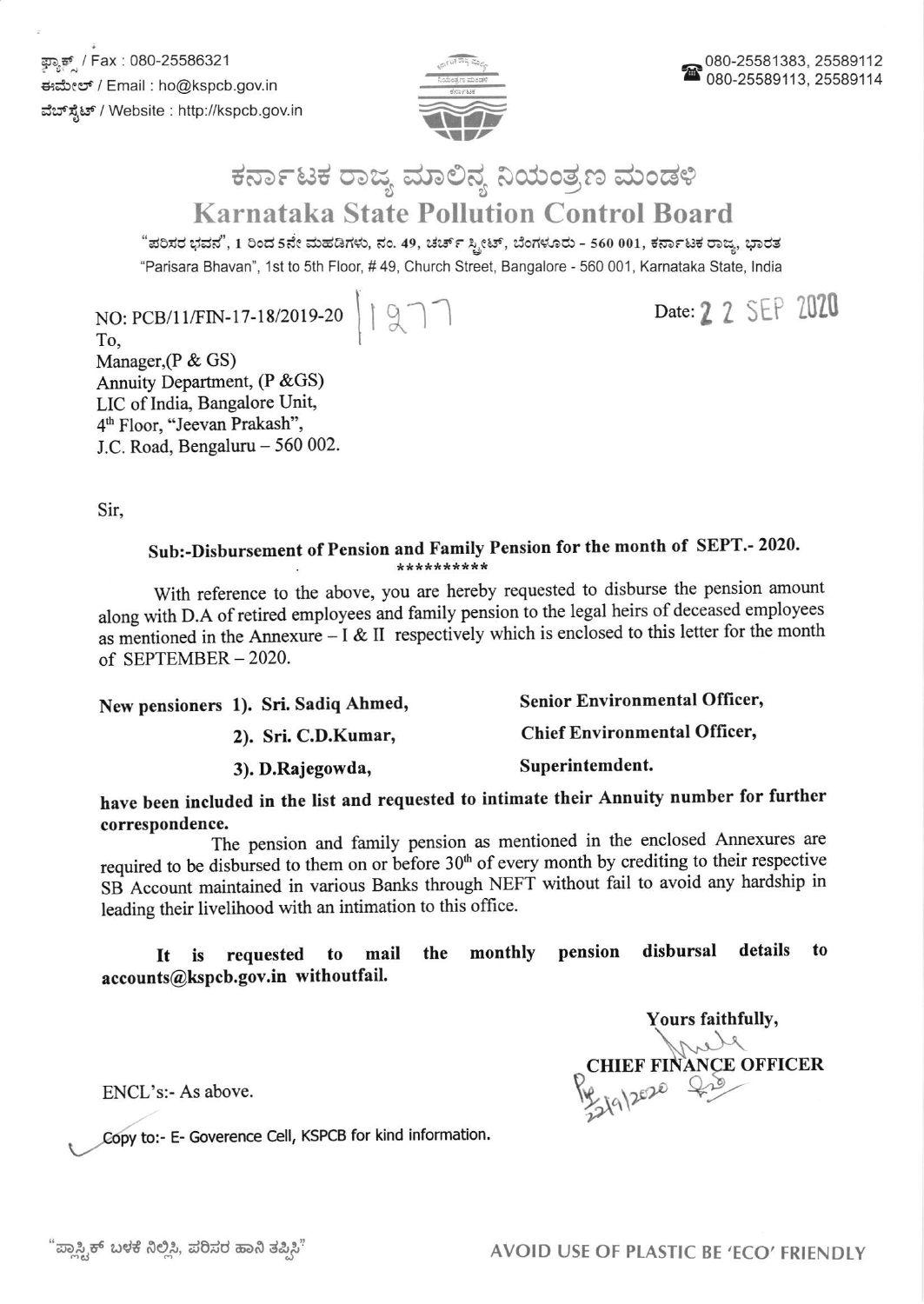qr.Er / Fax : 080-25586321 ಕಃಮೇಲ್ / Email : ho@kspcb.gov.in ವೆಬ್ ಸ್ಪೆಟ್ / Website : http://kspcb.gov.in



## ಕರ್ನಾಟಕ ರಾಜ್ಯ ಮಾಲಿನ್ಯ ನಿಯಂತ್ರಣ ಮಂಡಳಿ

## Karnataka State Pollution Control Board

"ಪರಿಸರ ಭವನ", 1 ರಿಂದ 5ನೇ ಮಹಡಿಗಳು, ನಂ. 49, ಚರ್ಚ್ ಸ್ಟೀಟ್, ಬೆಂಗಳೂರು - 560 001, ಕರ್ನಾಟಕ ರಾಜ್ಯ, ಭಾರತ "Parisara Bhavan", 1st to 5th Floor, # 49, Church Street, Bangalore - 560 001, Karnataka State, lndia

NO: PCB/11/FIN-17-18/2019-20 | | 9 7 7 Date: 2 2 SEP 2020

To, Manager, (P & GS) Annuity Department, (P & GS) LIC of India, Bangalore Unit, 4<sup>th</sup> Floor, "Jeevan Prakash", J.C. Road, Bengaluru - 560 002.

Sir,

## Sub:-Disbursement of Pension and Family Pension for the month of SEPT.-2020.

with reference to the above, you are hereby requested to disburse the pension amount along with D.A of retired employees and family pension to lhe legal heirs of deceased employees as mentioned in the Annexure - I & II respectively which is enclosed to this letter for the month of SEPTEMBER-2020.

| New pensioners 1). Sri. Sadiq Ahmed, | <b>Senior Environmental Officer,</b> |
|--------------------------------------|--------------------------------------|
| 2). Sri. C.D.Kumar,                  | <b>Chief Environmental Officer,</b>  |
| 3). D.Rajegowda,                     | Superintemdent.                      |

have been included in the list and requested to intimate their Annuity number for further correspondence.

The pension and family pension as mentioned in the enclosed Annexures are required to be disbursed to them on or before 30<sup>th</sup> of every month by crediting to their respective SB Account maintained in various Banks through NEFT without fail to avoid any hardship in leading their livelihood with an intimation to this office.

It is requested to mail the monthly pension disbursal details to accounts@kspcb.gov.in withoutfail.

Yours faithfully, **CHIEF FINANCE OFFICER**  $ENCL's:$ - As above.  $\overline{\phantom{a}}$ 

Copy to:- E- Goverence Cell, KSPCB for kind information.